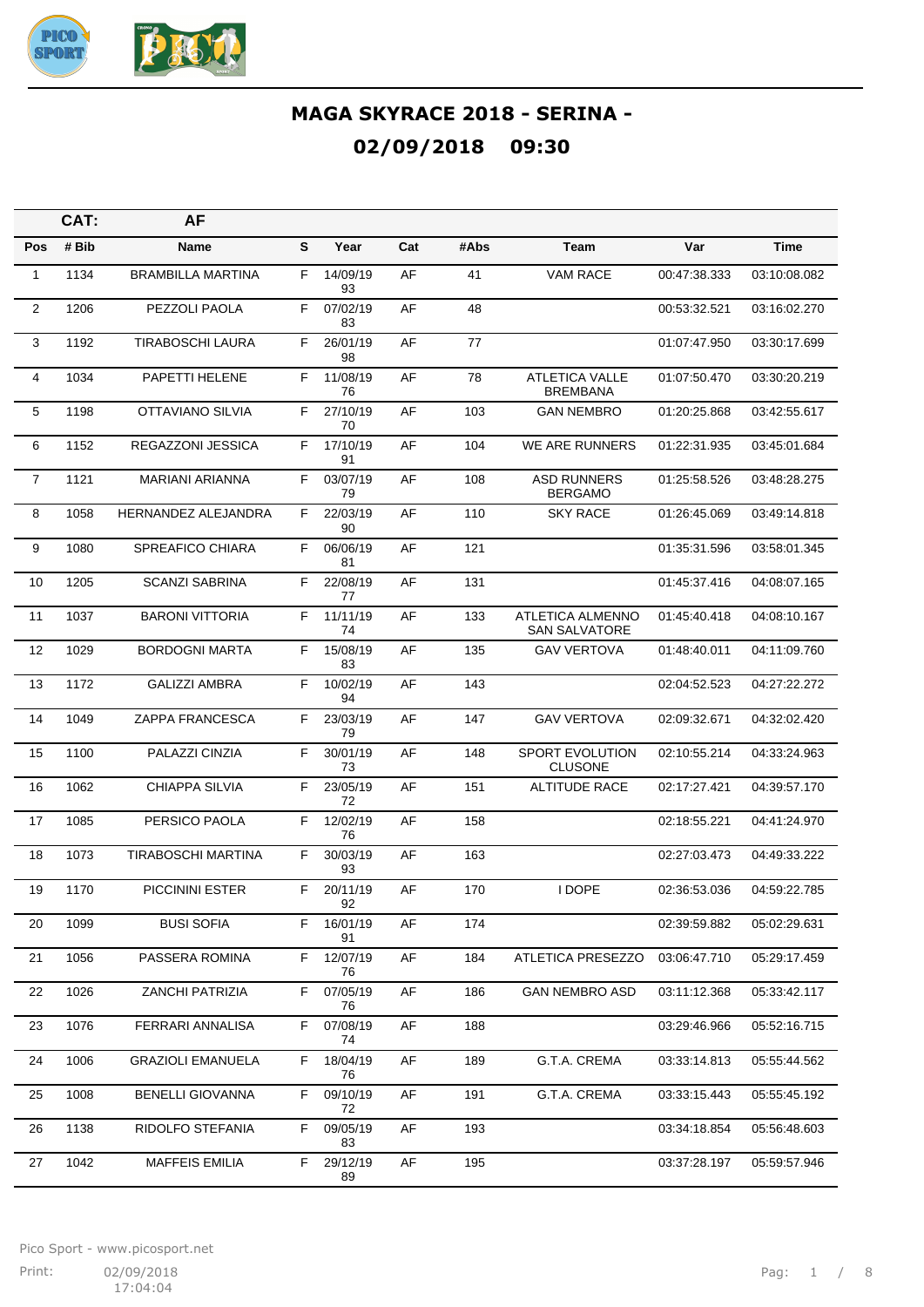

|                | CAT:  | AF                        |    |                |     |      |                                          |              |              |
|----------------|-------|---------------------------|----|----------------|-----|------|------------------------------------------|--------------|--------------|
| <b>Pos</b>     | # Bib | Name                      | S  | Year           | Cat | #Abs | Team                                     | Var          | Time         |
| 1              | 1134  | <b>BRAMBILLA MARTINA</b>  | F  | 14/09/19<br>93 | AF  | 41   | <b>VAM RACE</b>                          | 00:47:38.333 | 03:10:08.082 |
| $\overline{2}$ | 1206  | PEZZOLI PAOLA             | F  | 07/02/19<br>83 | AF  | 48   |                                          | 00:53:32.521 | 03:16:02.270 |
| 3              | 1192  | <b>TIRABOSCHI LAURA</b>   | F. | 26/01/19<br>98 | AF  | 77   |                                          | 01:07:47.950 | 03:30:17.699 |
| 4              | 1034  | PAPETTI HELENE            | F  | 11/08/19<br>76 | AF  | 78   | <b>ATLETICA VALLE</b><br><b>BREMBANA</b> | 01:07:50.470 | 03:30:20.219 |
| 5              | 1198  | OTTAVIANO SILVIA          | F  | 27/10/19<br>70 | AF  | 103  | <b>GAN NEMBRO</b>                        | 01:20:25.868 | 03:42:55.617 |
| 6              | 1152  | REGAZZONI JESSICA         | F  | 17/10/19<br>91 | AF  | 104  | WE ARE RUNNERS                           | 01:22:31.935 | 03:45:01.684 |
| $\overline{7}$ | 1121  | <b>MARIANI ARIANNA</b>    | F  | 03/07/19<br>79 | AF  | 108  | <b>ASD RUNNERS</b><br><b>BERGAMO</b>     | 01:25:58.526 | 03:48:28.275 |
| 8              | 1058  | HERNANDEZ ALEJANDRA       | F  | 22/03/19<br>90 | AF  | 110  | <b>SKY RACE</b>                          | 01:26:45.069 | 03:49:14.818 |
| 9              | 1080  | SPREAFICO CHIARA          | F. | 06/06/19<br>81 | AF  | 121  |                                          | 01:35:31.596 | 03:58:01.345 |
| 10             | 1205  | <b>SCANZI SABRINA</b>     | F  | 22/08/19<br>77 | AF  | 131  |                                          | 01:45:37.416 | 04:08:07.165 |
| 11             | 1037  | <b>BARONI VITTORIA</b>    | F  | 11/11/19<br>74 | AF  | 133  | ATLETICA ALMENNO<br><b>SAN SALVATORE</b> | 01:45:40.418 | 04:08:10.167 |
| 12             | 1029  | <b>BORDOGNI MARTA</b>     | F  | 15/08/19<br>83 | AF  | 135  | <b>GAV VERTOVA</b>                       | 01:48:40.011 | 04:11:09.760 |
| 13             | 1172  | <b>GALIZZI AMBRA</b>      | F  | 10/02/19<br>94 | AF  | 143  |                                          | 02:04:52.523 | 04:27:22.272 |
| 14             | 1049  | ZAPPA FRANCESCA           | F  | 23/03/19<br>79 | AF  | 147  | <b>GAV VERTOVA</b>                       | 02:09:32.671 | 04:32:02.420 |
| 15             | 1100  | PALAZZI CINZIA            | F  | 30/01/19<br>73 | AF  | 148  | SPORT EVOLUTION<br><b>CLUSONE</b>        | 02:10:55.214 | 04:33:24.963 |
| 16             | 1062  | <b>CHIAPPA SILVIA</b>     | F  | 23/05/19<br>72 | AF  | 151  | <b>ALTITUDE RACE</b>                     | 02:17:27.421 | 04:39:57.170 |
| 17             | 1085  | PERSICO PAOLA             | F  | 12/02/19<br>76 | AF  | 158  |                                          | 02:18:55.221 | 04:41:24.970 |
| 18             | 1073  | <b>TIRABOSCHI MARTINA</b> | F  | 30/03/19<br>93 | AF  | 163  |                                          | 02:27:03.473 | 04:49:33.222 |
| 19             | 1170  | <b>PICCININI ESTER</b>    | F  | 20/11/19<br>92 | AF  | 170  | <b>I DOPE</b>                            | 02:36:53.036 | 04:59:22.785 |
| 20             | 1099  | <b>BUSI SOFIA</b>         | F. | 16/01/19<br>91 | AF  | 174  |                                          | 02:39:59.882 | 05:02:29.631 |
| 21             | 1056  | PASSERA ROMINA            | F. | 12/07/19<br>76 | AF  | 184  | ATLETICA PRESEZZO                        | 03:06:47.710 | 05:29:17.459 |
| 22             | 1026  | <b>ZANCHI PATRIZIA</b>    | F  | 07/05/19<br>76 | AF  | 186  | <b>GAN NEMBRO ASD</b>                    | 03:11:12.368 | 05:33:42.117 |
| 23             | 1076  | FERRARI ANNALISA          | F. | 07/08/19<br>74 | AF  | 188  |                                          | 03:29:46.966 | 05:52:16.715 |
| 24             | 1006  | <b>GRAZIOLI EMANUELA</b>  | F. | 18/04/19<br>76 | AF  | 189  | G.T.A. CREMA                             | 03:33:14.813 | 05:55:44.562 |
| 25             | 1008  | <b>BENELLI GIOVANNA</b>   | F. | 09/10/19<br>72 | AF  | 191  | G.T.A. CREMA                             | 03:33:15.443 | 05:55:45.192 |
| 26             | 1138  | RIDOLFO STEFANIA          | F. | 09/05/19<br>83 | AF  | 193  |                                          | 03:34:18.854 | 05:56:48.603 |
| 27             | 1042  | <b>MAFFEIS EMILIA</b>     | F  | 29/12/19<br>89 | AF  | 195  |                                          | 03:37:28.197 | 05:59:57.946 |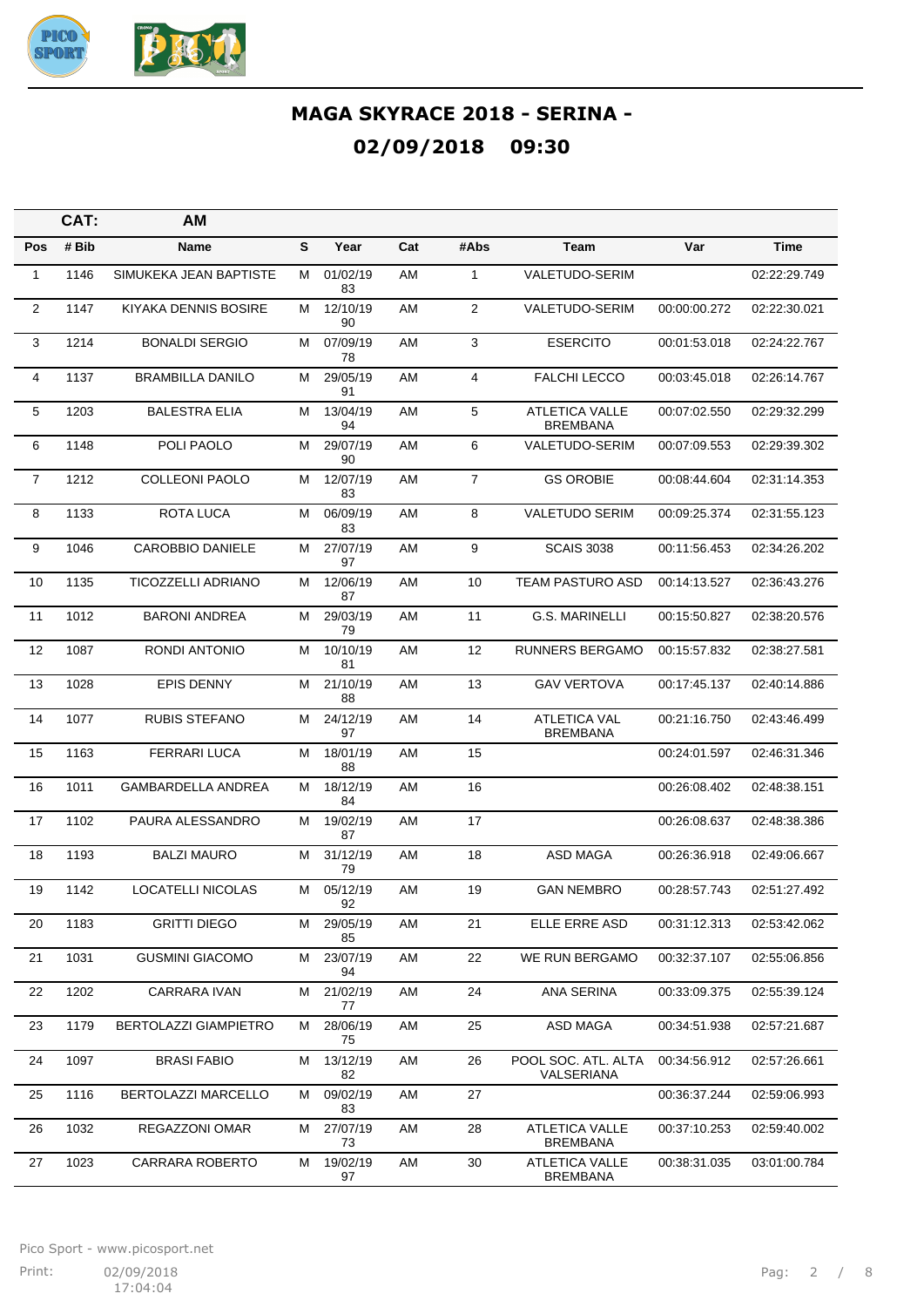

|                | CAT:  | <b>AM</b>                    |   |                |     |                |                                          |              |              |
|----------------|-------|------------------------------|---|----------------|-----|----------------|------------------------------------------|--------------|--------------|
| Pos            | # Bib | Name                         | S | Year           | Cat | #Abs           | Team                                     | Var          | Time         |
| 1              | 1146  | SIMUKEKA JEAN BAPTISTE       | м | 01/02/19<br>83 | AM  | $\mathbf{1}$   | VALETUDO-SERIM                           |              | 02:22:29.749 |
| $\overline{2}$ | 1147  | KIYAKA DENNIS BOSIRE         | М | 12/10/19<br>90 | AM  | 2              | <b>VALETUDO-SERIM</b>                    | 00:00:00.272 | 02:22:30.021 |
| 3              | 1214  | <b>BONALDI SERGIO</b>        | м | 07/09/19<br>78 | AM  | 3              | <b>ESERCITO</b>                          | 00:01:53.018 | 02:24:22.767 |
| 4              | 1137  | <b>BRAMBILLA DANILO</b>      | м | 29/05/19<br>91 | AM  | 4              | <b>FALCHI LECCO</b>                      | 00:03:45.018 | 02:26:14.767 |
| 5              | 1203  | <b>BALESTRA ELIA</b>         | м | 13/04/19<br>94 | AM  | 5              | <b>ATLETICA VALLE</b><br><b>BREMBANA</b> | 00:07:02.550 | 02:29:32.299 |
| 6              | 1148  | POLI PAOLO                   | М | 29/07/19<br>90 | AM  | 6              | <b>VALETUDO-SERIM</b>                    | 00:07:09.553 | 02:29:39.302 |
| $\overline{7}$ | 1212  | <b>COLLEONI PAOLO</b>        | М | 12/07/19<br>83 | AM  | $\overline{7}$ | <b>GS OROBIE</b>                         | 00:08:44.604 | 02:31:14.353 |
| 8              | 1133  | ROTA LUCA                    | м | 06/09/19<br>83 | AM  | 8              | <b>VALETUDO SERIM</b>                    | 00:09:25.374 | 02:31:55.123 |
| 9              | 1046  | <b>CAROBBIO DANIELE</b>      | м | 27/07/19<br>97 | AM  | 9              | <b>SCAIS 3038</b>                        | 00:11:56.453 | 02:34:26.202 |
| 10             | 1135  | <b>TICOZZELLI ADRIANO</b>    | м | 12/06/19<br>87 | AM  | 10             | <b>TEAM PASTURO ASD</b>                  | 00:14:13.527 | 02:36:43.276 |
| 11             | 1012  | <b>BARONI ANDREA</b>         | м | 29/03/19<br>79 | AM  | 11             | <b>G.S. MARINELLI</b>                    | 00:15:50.827 | 02:38:20.576 |
| 12             | 1087  | RONDI ANTONIO                | М | 10/10/19<br>81 | AM  | 12             | <b>RUNNERS BERGAMO</b>                   | 00:15:57.832 | 02:38:27.581 |
| 13             | 1028  | <b>EPIS DENNY</b>            | м | 21/10/19<br>88 | AM  | 13             | <b>GAV VERTOVA</b>                       | 00:17:45.137 | 02:40:14.886 |
| 14             | 1077  | <b>RUBIS STEFANO</b>         | м | 24/12/19<br>97 | AM  | 14             | <b>ATLETICA VAL</b><br><b>BREMBANA</b>   | 00:21:16.750 | 02:43:46.499 |
| 15             | 1163  | <b>FERRARI LUCA</b>          | м | 18/01/19<br>88 | AM  | 15             |                                          | 00:24:01.597 | 02:46:31.346 |
| 16             | 1011  | GAMBARDELLA ANDREA           | м | 18/12/19<br>84 | AM  | 16             |                                          | 00:26:08.402 | 02:48:38.151 |
| 17             | 1102  | PAURA ALESSANDRO             | м | 19/02/19<br>87 | AM  | 17             |                                          | 00:26:08.637 | 02:48:38.386 |
| 18             | 1193  | <b>BALZI MAURO</b>           | м | 31/12/19<br>79 | AM  | 18             | ASD MAGA                                 | 00:26:36.918 | 02:49:06.667 |
| 19             | 1142  | <b>LOCATELLI NICOLAS</b>     | М | 05/12/19<br>92 | AM  | 19             | <b>GAN NEMBRO</b>                        | 00:28:57.743 | 02:51:27.492 |
| 20             | 1183  | <b>GRITTI DIEGO</b>          | м | 29/05/19<br>85 | AM  | 21             | ELLE ERRE ASD                            | 00:31:12.313 | 02:53:42.062 |
| 21             | 1031  | <b>GUSMINI GIACOMO</b>       | М | 23/07/19<br>94 | AM  | 22             | WE RUN BERGAMO                           | 00:32:37.107 | 02:55:06.856 |
| 22             | 1202  | CARRARA IVAN                 | м | 21/02/19<br>77 | AM  | 24             | ANA SERINA                               | 00:33:09.375 | 02:55:39.124 |
| 23             | 1179  | <b>BERTOLAZZI GIAMPIETRO</b> | м | 28/06/19<br>75 | AM  | 25             | ASD MAGA                                 | 00:34:51.938 | 02:57:21.687 |
| 24             | 1097  | <b>BRASI FABIO</b>           | м | 13/12/19<br>82 | AM  | 26             | POOL SOC. ATL. ALTA<br>VALSERIANA        | 00:34:56.912 | 02:57:26.661 |
| 25             | 1116  | BERTOLAZZI MARCELLO          | м | 09/02/19<br>83 | AM  | 27             |                                          | 00:36:37.244 | 02:59:06.993 |
| 26             | 1032  | REGAZZONI OMAR               | м | 27/07/19<br>73 | AM  | 28             | <b>ATLETICA VALLE</b><br><b>BREMBANA</b> | 00:37:10.253 | 02:59:40.002 |
| 27             | 1023  | CARRARA ROBERTO              | M | 19/02/19<br>97 | AM  | 30             | <b>ATLETICA VALLE</b><br><b>BREMBANA</b> | 00:38:31.035 | 03:01:00.784 |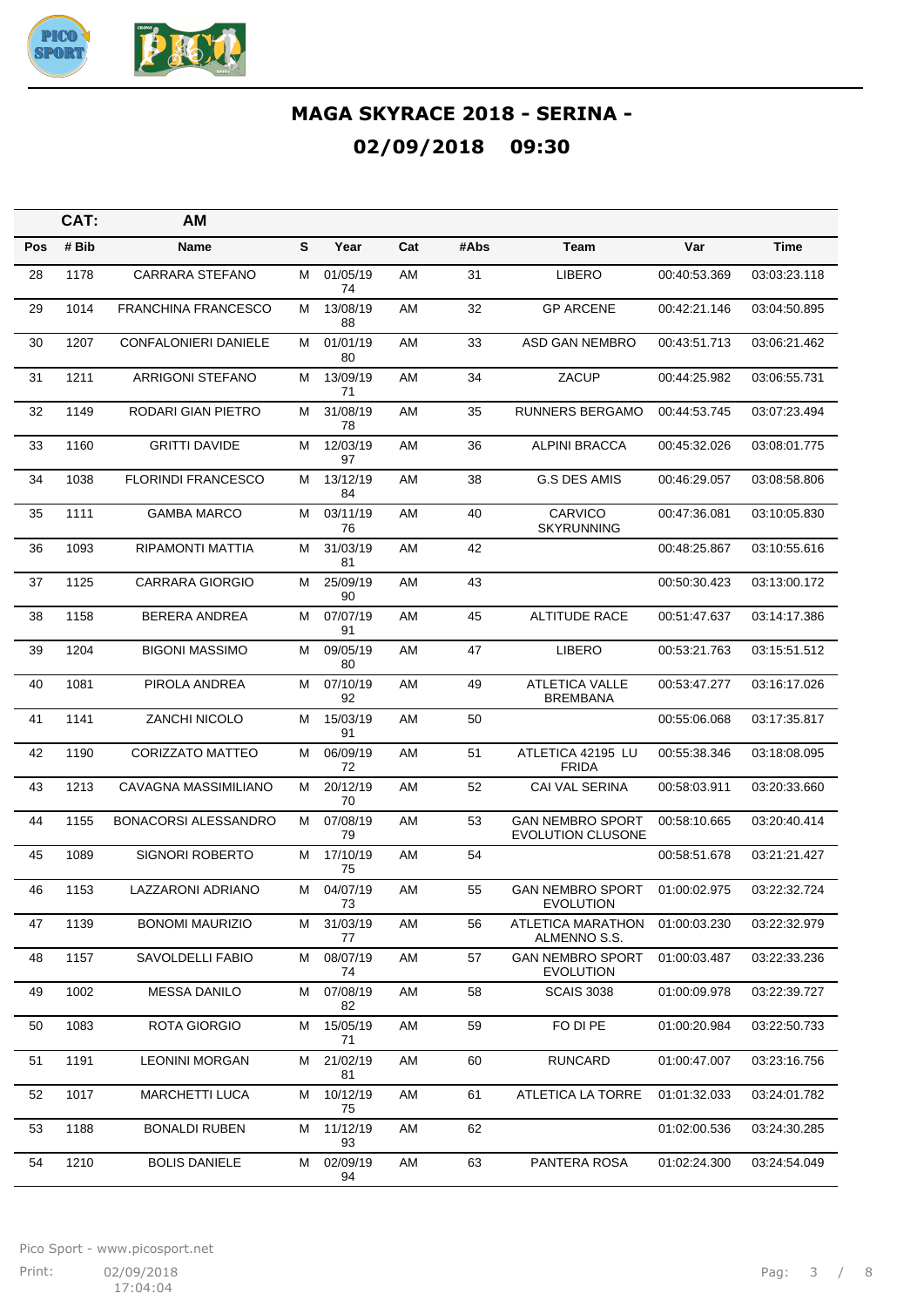

|     | CAT:  | AМ                          |   |                |     |      |                                                     |              |              |
|-----|-------|-----------------------------|---|----------------|-----|------|-----------------------------------------------------|--------------|--------------|
| Pos | # Bib | Name                        | S | Year           | Cat | #Abs | Team                                                | Var          | Time         |
| 28  | 1178  | CARRARA STEFANO             | м | 01/05/19<br>74 | AM  | 31   | <b>LIBERO</b>                                       | 00:40:53.369 | 03:03:23.118 |
| 29  | 1014  | <b>FRANCHINA FRANCESCO</b>  | м | 13/08/19<br>88 | AM  | 32   | <b>GP ARCENE</b>                                    | 00:42:21.146 | 03:04:50.895 |
| 30  | 1207  | CONFALONIERI DANIELE        | м | 01/01/19<br>80 | AM  | 33   | ASD GAN NEMBRO                                      | 00:43:51.713 | 03:06:21.462 |
| 31  | 1211  | ARRIGONI STEFANO            | М | 13/09/19<br>71 | AM  | 34   | ZACUP                                               | 00:44:25.982 | 03:06:55.731 |
| 32  | 1149  | RODARI GIAN PIETRO          | М | 31/08/19<br>78 | AM  | 35   | <b>RUNNERS BERGAMO</b>                              | 00:44:53.745 | 03:07:23.494 |
| 33  | 1160  | <b>GRITTI DAVIDE</b>        | м | 12/03/19<br>97 | AM  | 36   | <b>ALPINI BRACCA</b>                                | 00:45:32.026 | 03:08:01.775 |
| 34  | 1038  | <b>FLORINDI FRANCESCO</b>   | М | 13/12/19<br>84 | AM  | 38   | G.S DES AMIS                                        | 00:46:29.057 | 03:08:58.806 |
| 35  | 1111  | <b>GAMBA MARCO</b>          | М | 03/11/19<br>76 | AM  | 40   | CARVICO<br><b>SKYRUNNING</b>                        | 00:47:36.081 | 03:10:05.830 |
| 36  | 1093  | RIPAMONTI MATTIA            | м | 31/03/19<br>81 | AM  | 42   |                                                     | 00:48:25.867 | 03:10:55.616 |
| 37  | 1125  | <b>CARRARA GIORGIO</b>      | м | 25/09/19<br>90 | AM  | 43   |                                                     | 00:50:30.423 | 03:13:00.172 |
| 38  | 1158  | <b>BERERA ANDREA</b>        | М | 07/07/19<br>91 | AM  | 45   | <b>ALTITUDE RACE</b>                                | 00:51:47.637 | 03:14:17.386 |
| 39  | 1204  | <b>BIGONI MASSIMO</b>       | м | 09/05/19<br>80 | AM  | 47   | <b>LIBERO</b>                                       | 00:53:21.763 | 03:15:51.512 |
| 40  | 1081  | PIROLA ANDREA               | М | 07/10/19<br>92 | AM  | 49   | <b>ATLETICA VALLE</b><br><b>BREMBANA</b>            | 00:53:47.277 | 03:16:17.026 |
| 41  | 1141  | ZANCHI NICOLO               | м | 15/03/19<br>91 | AM  | 50   |                                                     | 00:55:06.068 | 03:17:35.817 |
| 42  | 1190  | <b>CORIZZATO MATTEO</b>     | м | 06/09/19<br>72 | AM  | 51   | ATLETICA 42195 LU<br><b>FRIDA</b>                   | 00:55:38.346 | 03:18:08.095 |
| 43  | 1213  | CAVAGNA MASSIMILIANO        | м | 20/12/19<br>70 | AM  | 52   | CAI VAL SERINA                                      | 00:58:03.911 | 03:20:33.660 |
| 44  | 1155  | <b>BONACORSI ALESSANDRO</b> | м | 07/08/19<br>79 | AM  | 53   | <b>GAN NEMBRO SPORT</b><br><b>EVOLUTION CLUSONE</b> | 00:58:10.665 | 03:20:40.414 |
| 45  | 1089  | <b>SIGNORI ROBERTO</b>      | м | 17/10/19<br>75 | AM  | 54   |                                                     | 00:58:51.678 | 03:21:21.427 |
| 46  | 1153  | <b>LAZZARONI ADRIANO</b>    | М | 04/07/19<br>73 | AM  | 55   | <b>GAN NEMBRO SPORT</b><br><b>EVOLUTION</b>         | 01:00:02.975 | 03:22:32.724 |
| 47  | 1139  | <b>BONOMI MAURIZIO</b>      | м | 31/03/19<br>77 | AM  | 56   | ATLETICA MARATHON<br>ALMENNO S.S.                   | 01:00:03.230 | 03:22:32.979 |
| 48  | 1157  | SAVOLDELLI FABIO            | М | 08/07/19<br>74 | AM  | 57   | <b>GAN NEMBRO SPORT</b><br><b>EVOLUTION</b>         | 01:00:03.487 | 03:22:33.236 |
| 49  | 1002  | <b>MESSA DANILO</b>         | Μ | 07/08/19<br>82 | AM  | 58   | <b>SCAIS 3038</b>                                   | 01:00:09.978 | 03:22:39.727 |
| 50  | 1083  | ROTA GIORGIO                | М | 15/05/19<br>71 | AM  | 59   | FO DI PE                                            | 01:00:20.984 | 03:22:50.733 |
| 51  | 1191  | <b>LEONINI MORGAN</b>       | м | 21/02/19<br>81 | AM  | 60   | <b>RUNCARD</b>                                      | 01:00:47.007 | 03:23:16.756 |
| 52  | 1017  | <b>MARCHETTI LUCA</b>       | Μ | 10/12/19<br>75 | AM  | 61   | ATLETICA LA TORRE                                   | 01:01:32.033 | 03:24:01.782 |
| 53  | 1188  | <b>BONALDI RUBEN</b>        | М | 11/12/19<br>93 | AM  | 62   |                                                     | 01:02:00.536 | 03:24:30.285 |
| 54  | 1210  | <b>BOLIS DANIELE</b>        | Μ | 02/09/19<br>94 | AM  | 63   | PANTERA ROSA                                        | 01:02:24.300 | 03:24:54.049 |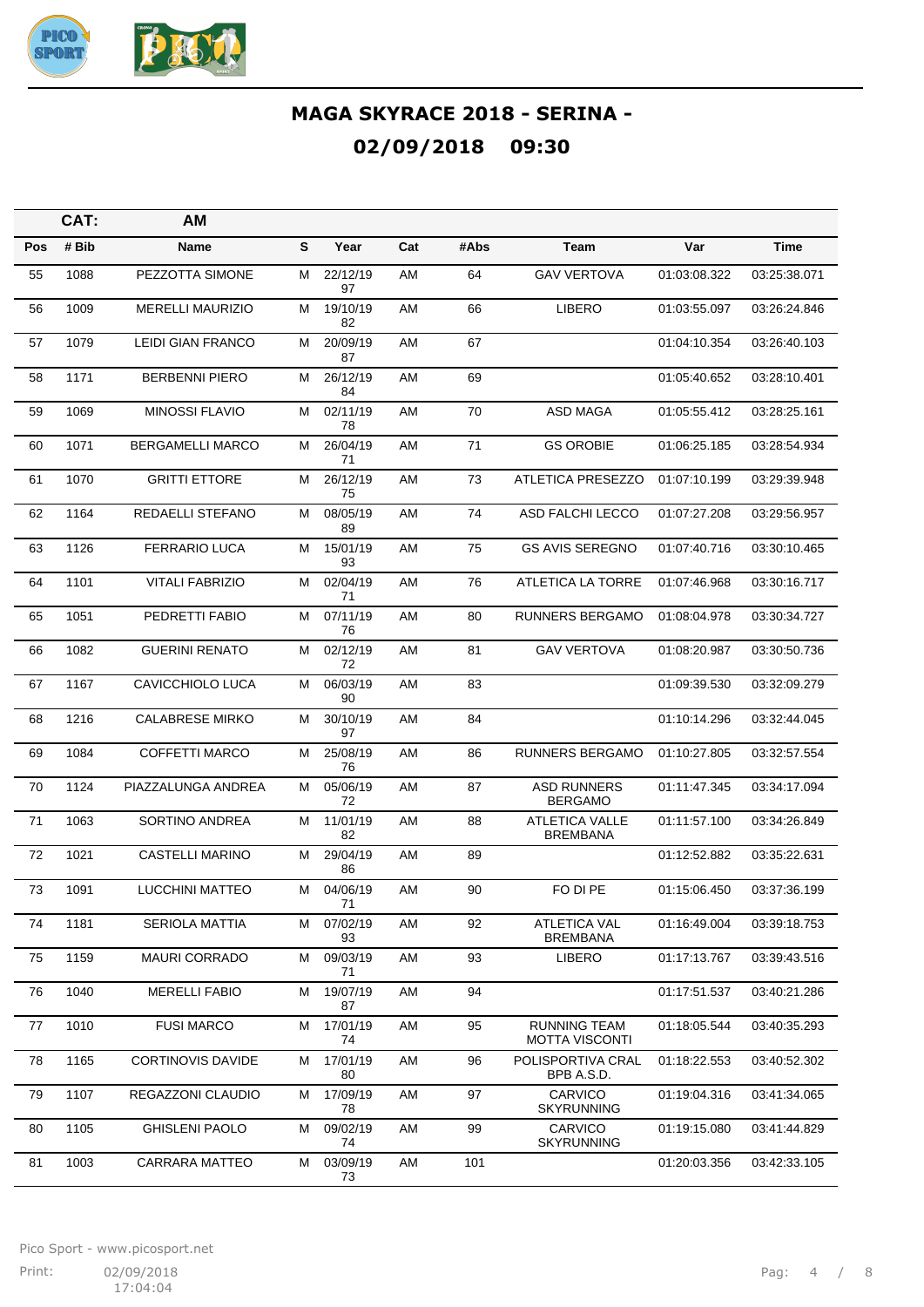

|            | CAT:  | <b>AM</b>                |   |                |     |      |                                              |              |              |
|------------|-------|--------------------------|---|----------------|-----|------|----------------------------------------------|--------------|--------------|
| <b>Pos</b> | # Bib | Name                     | S | Year           | Cat | #Abs | Team                                         | Var          | Time         |
| 55         | 1088  | PEZZOTTA SIMONE          | м | 22/12/19<br>97 | AM  | 64   | <b>GAV VERTOVA</b>                           | 01:03:08.322 | 03:25:38.071 |
| 56         | 1009  | <b>MERELLI MAURIZIO</b>  | м | 19/10/19<br>82 | AM  | 66   | <b>LIBERO</b>                                | 01:03:55.097 | 03:26:24.846 |
| 57         | 1079  | <b>LEIDI GIAN FRANCO</b> | м | 20/09/19<br>87 | AM  | 67   |                                              | 01:04:10.354 | 03:26:40.103 |
| 58         | 1171  | <b>BERBENNI PIERO</b>    | М | 26/12/19<br>84 | AM  | 69   |                                              | 01:05:40.652 | 03:28:10.401 |
| 59         | 1069  | <b>MINOSSI FLAVIO</b>    | м | 02/11/19<br>78 | AM  | 70   | ASD MAGA                                     | 01:05:55.412 | 03:28:25.161 |
| 60         | 1071  | <b>BERGAMELLI MARCO</b>  | м | 26/04/19<br>71 | AM  | 71   | <b>GS OROBIE</b>                             | 01:06:25.185 | 03:28:54.934 |
| 61         | 1070  | <b>GRITTI ETTORE</b>     | м | 26/12/19<br>75 | AM  | 73   | ATLETICA PRESEZZO                            | 01:07:10.199 | 03:29:39.948 |
| 62         | 1164  | REDAELLI STEFANO         | М | 08/05/19<br>89 | AM  | 74   | ASD FALCHI LECCO                             | 01:07:27.208 | 03:29:56.957 |
| 63         | 1126  | <b>FERRARIO LUCA</b>     | м | 15/01/19<br>93 | AM  | 75   | <b>GS AVIS SEREGNO</b>                       | 01:07:40.716 | 03:30:10.465 |
| 64         | 1101  | <b>VITALI FABRIZIO</b>   | м | 02/04/19<br>71 | AM  | 76   | ATLETICA LA TORRE                            | 01:07:46.968 | 03:30:16.717 |
| 65         | 1051  | PEDRETTI FABIO           | М | 07/11/19<br>76 | AM  | 80   | <b>RUNNERS BERGAMO</b>                       | 01:08:04.978 | 03:30:34.727 |
| 66         | 1082  | <b>GUERINI RENATO</b>    | м | 02/12/19<br>72 | AM  | 81   | <b>GAV VERTOVA</b>                           | 01:08:20.987 | 03:30:50.736 |
| 67         | 1167  | CAVICCHIOLO LUCA         | м | 06/03/19<br>90 | AM  | 83   |                                              | 01:09:39.530 | 03:32:09.279 |
| 68         | 1216  | <b>CALABRESE MIRKO</b>   | м | 30/10/19<br>97 | AM  | 84   |                                              | 01:10:14.296 | 03:32:44.045 |
| 69         | 1084  | <b>COFFETTI MARCO</b>    | м | 25/08/19<br>76 | AM  | 86   | <b>RUNNERS BERGAMO</b>                       | 01:10:27.805 | 03:32:57.554 |
| 70         | 1124  | PIAZZALUNGA ANDREA       | м | 05/06/19<br>72 | AM  | 87   | <b>ASD RUNNERS</b><br><b>BERGAMO</b>         | 01:11:47.345 | 03:34:17.094 |
| 71         | 1063  | SORTINO ANDREA           | М | 11/01/19<br>82 | AM  | 88   | <b>ATLETICA VALLE</b><br><b>BREMBANA</b>     | 01:11:57.100 | 03:34:26.849 |
| 72         | 1021  | <b>CASTELLI MARINO</b>   | м | 29/04/19<br>86 | AM  | 89   |                                              | 01:12:52.882 | 03:35:22.631 |
| 73         | 1091  | <b>LUCCHINI MATTEO</b>   | М | 04/06/19<br>71 | AM  | 90   | FO DI PE                                     | 01:15:06.450 | 03:37:36.199 |
| 74         | 1181  | <b>SERIOLA MATTIA</b>    | м | 07/02/19<br>93 | AM  | 92   | <b>ATLETICA VAL</b><br><b>BREMBANA</b>       | 01:16:49.004 | 03:39:18.753 |
| 75         | 1159  | <b>MAURI CORRADO</b>     | М | 09/03/19<br>71 | AM  | 93   | LIBERO                                       | 01:17:13.767 | 03:39:43.516 |
| 76         | 1040  | <b>MERELLI FABIO</b>     | М | 19/07/19<br>87 | AM  | 94   |                                              | 01:17:51.537 | 03:40:21.286 |
| 77         | 1010  | <b>FUSI MARCO</b>        | М | 17/01/19<br>74 | AM  | 95   | <b>RUNNING TEAM</b><br><b>MOTTA VISCONTI</b> | 01:18:05.544 | 03:40:35.293 |
| 78         | 1165  | <b>CORTINOVIS DAVIDE</b> | м | 17/01/19<br>80 | AM  | 96   | POLISPORTIVA CRAL<br>BPB A.S.D.              | 01:18:22.553 | 03:40:52.302 |
| 79         | 1107  | REGAZZONI CLAUDIO        | М | 17/09/19<br>78 | AM  | 97   | <b>CARVICO</b><br><b>SKYRUNNING</b>          | 01:19:04.316 | 03:41:34.065 |
| 80         | 1105  | <b>GHISLENI PAOLO</b>    | М | 09/02/19<br>74 | AM  | 99   | <b>CARVICO</b><br><b>SKYRUNNING</b>          | 01:19:15.080 | 03:41:44.829 |
| 81         | 1003  | CARRARA MATTEO           | М | 03/09/19<br>73 | AM  | 101  |                                              | 01:20:03.356 | 03:42:33.105 |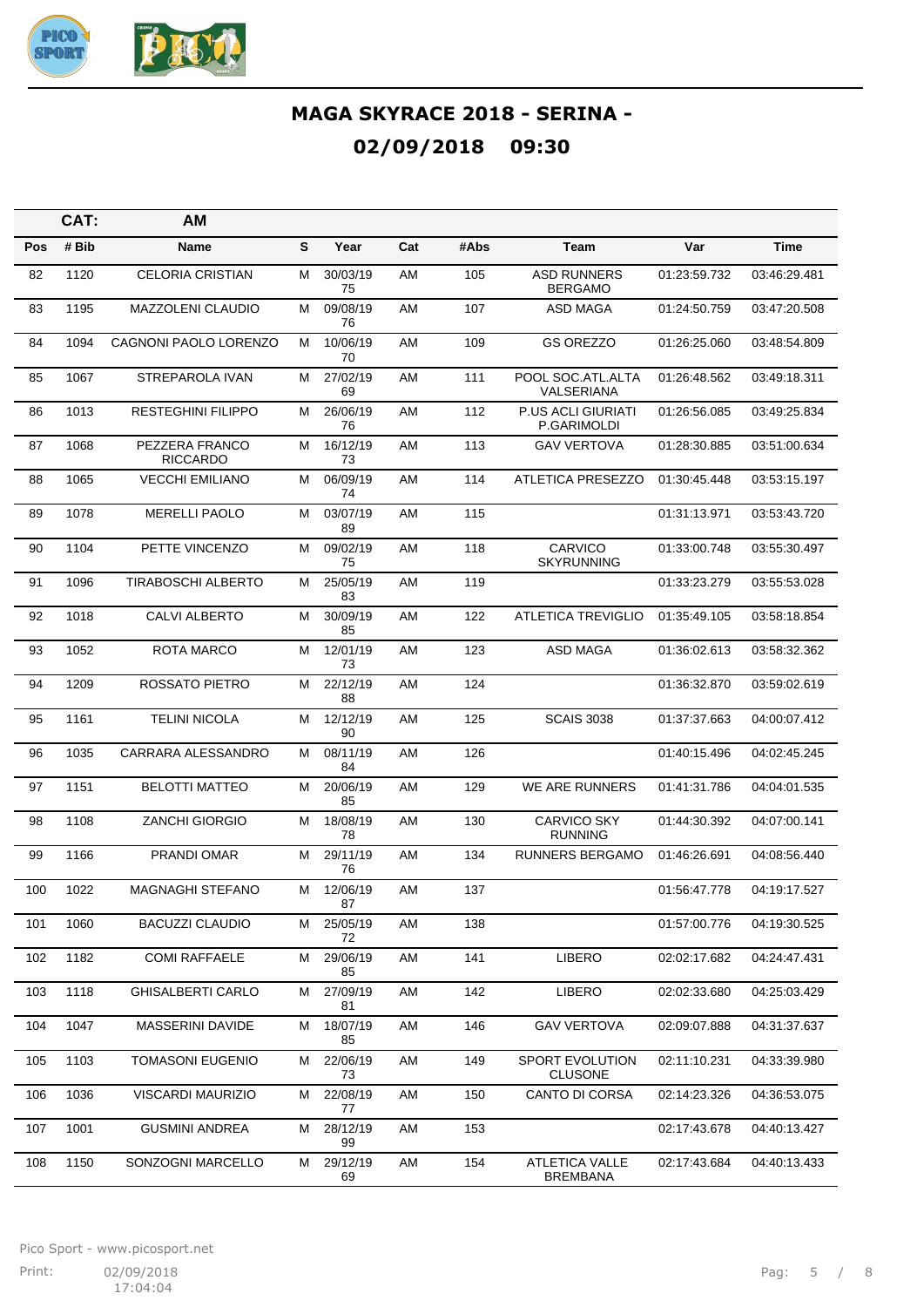

|            | CAT:  | <b>AM</b>                         |   |                |     |      |                                          |              |              |
|------------|-------|-----------------------------------|---|----------------|-----|------|------------------------------------------|--------------|--------------|
| <b>Pos</b> | # Bib | Name                              | S | Year           | Cat | #Abs | Team                                     | Var          | Time         |
| 82         | 1120  | <b>CELORIA CRISTIAN</b>           | М | 30/03/19<br>75 | AM  | 105  | <b>ASD RUNNERS</b><br><b>BERGAMO</b>     | 01:23:59.732 | 03:46:29.481 |
| 83         | 1195  | <b>MAZZOLENI CLAUDIO</b>          | м | 09/08/19<br>76 | AM  | 107  | <b>ASD MAGA</b>                          | 01:24:50.759 | 03:47:20.508 |
| 84         | 1094  | CAGNONI PAOLO LORENZO             | м | 10/06/19<br>70 | AM  | 109  | <b>GS OREZZO</b>                         | 01:26:25.060 | 03:48:54.809 |
| 85         | 1067  | STREPAROLA IVAN                   | Μ | 27/02/19<br>69 | AM  | 111  | POOL SOC.ATL.ALTA<br>VALSERIANA          | 01:26:48.562 | 03:49:18.311 |
| 86         | 1013  | <b>RESTEGHINI FILIPPO</b>         | м | 26/06/19<br>76 | AM  | 112  | P.US ACLI GIURIATI<br>P.GARIMOLDI        | 01:26:56.085 | 03:49:25.834 |
| 87         | 1068  | PEZZERA FRANCO<br><b>RICCARDO</b> | м | 16/12/19<br>73 | AM  | 113  | <b>GAV VERTOVA</b>                       | 01:28:30.885 | 03:51:00.634 |
| 88         | 1065  | <b>VECCHI EMILIANO</b>            | м | 06/09/19<br>74 | AM  | 114  | ATLETICA PRESEZZO                        | 01:30:45.448 | 03:53:15.197 |
| 89         | 1078  | <b>MERELLI PAOLO</b>              | м | 03/07/19<br>89 | AM  | 115  |                                          | 01:31:13.971 | 03:53:43.720 |
| 90         | 1104  | PETTE VINCENZO                    | м | 09/02/19<br>75 | AM  | 118  | CARVICO<br><b>SKYRUNNING</b>             | 01:33:00.748 | 03:55:30.497 |
| 91         | 1096  | TIRABOSCHI ALBERTO                | Μ | 25/05/19<br>83 | AM  | 119  |                                          | 01:33:23.279 | 03:55:53.028 |
| 92         | 1018  | <b>CALVI ALBERTO</b>              | м | 30/09/19<br>85 | AM  | 122  | <b>ATLETICA TREVIGLIO</b>                | 01:35:49.105 | 03:58:18.854 |
| 93         | 1052  | <b>ROTA MARCO</b>                 | М | 12/01/19<br>73 | AM  | 123  | ASD MAGA                                 | 01:36:02.613 | 03:58:32.362 |
| 94         | 1209  | ROSSATO PIETRO                    | м | 22/12/19<br>88 | AM  | 124  |                                          | 01:36:32.870 | 03:59:02.619 |
| 95         | 1161  | <b>TELINI NICOLA</b>              | м | 12/12/19<br>90 | AM  | 125  | <b>SCAIS 3038</b>                        | 01:37:37.663 | 04:00:07.412 |
| 96         | 1035  | CARRARA ALESSANDRO                | м | 08/11/19<br>84 | AM  | 126  |                                          | 01:40:15.496 | 04:02:45.245 |
| 97         | 1151  | <b>BELOTTI MATTEO</b>             | м | 20/06/19<br>85 | AM  | 129  | WE ARE RUNNERS                           | 01:41:31.786 | 04:04:01.535 |
| 98         | 1108  | <b>ZANCHI GIORGIO</b>             | м | 18/08/19<br>78 | AM  | 130  | <b>CARVICO SKY</b><br><b>RUNNING</b>     | 01:44:30.392 | 04:07:00.141 |
| 99         | 1166  | PRANDI OMAR                       | м | 29/11/19<br>76 | AM  | 134  | <b>RUNNERS BERGAMO</b>                   | 01:46:26.691 | 04:08:56.440 |
| 100        | 1022  | MAGNAGHI STEFANO                  | М | 12/06/19<br>87 | AM  | 137  |                                          | 01:56:47.778 | 04:19:17.527 |
| 101        | 1060  | <b>BACUZZI CLAUDIO</b>            | м | 25/05/19<br>72 | AM  | 138  |                                          | 01:57:00.776 | 04:19:30.525 |
| 102        | 1182  | <b>COMI RAFFAELE</b>              | М | 29/06/19<br>85 | AM  | 141  | <b>LIBERO</b>                            | 02:02:17.682 | 04:24:47.431 |
| 103        | 1118  | <b>GHISALBERTI CARLO</b>          | М | 27/09/19<br>81 | AM  | 142  | <b>LIBERO</b>                            | 02:02:33.680 | 04:25:03.429 |
| 104        | 1047  | MASSERINI DAVIDE                  | Μ | 18/07/19<br>85 | AM  | 146  | <b>GAV VERTOVA</b>                       | 02:09:07.888 | 04:31:37.637 |
| 105        | 1103  | <b>TOMASONI EUGENIO</b>           | м | 22/06/19<br>73 | AM  | 149  | SPORT EVOLUTION<br><b>CLUSONE</b>        | 02:11:10.231 | 04:33:39.980 |
| 106        | 1036  | VISCARDI MAURIZIO                 | м | 22/08/19<br>77 | AM  | 150  | <b>CANTO DI CORSA</b>                    | 02:14:23.326 | 04:36:53.075 |
| 107        | 1001  | <b>GUSMINI ANDREA</b>             | Μ | 28/12/19<br>99 | AM  | 153  |                                          | 02:17:43.678 | 04:40:13.427 |
| 108        | 1150  | SONZOGNI MARCELLO                 | М | 29/12/19<br>69 | AM  | 154  | <b>ATLETICA VALLE</b><br><b>BREMBANA</b> | 02:17:43.684 | 04:40:13.433 |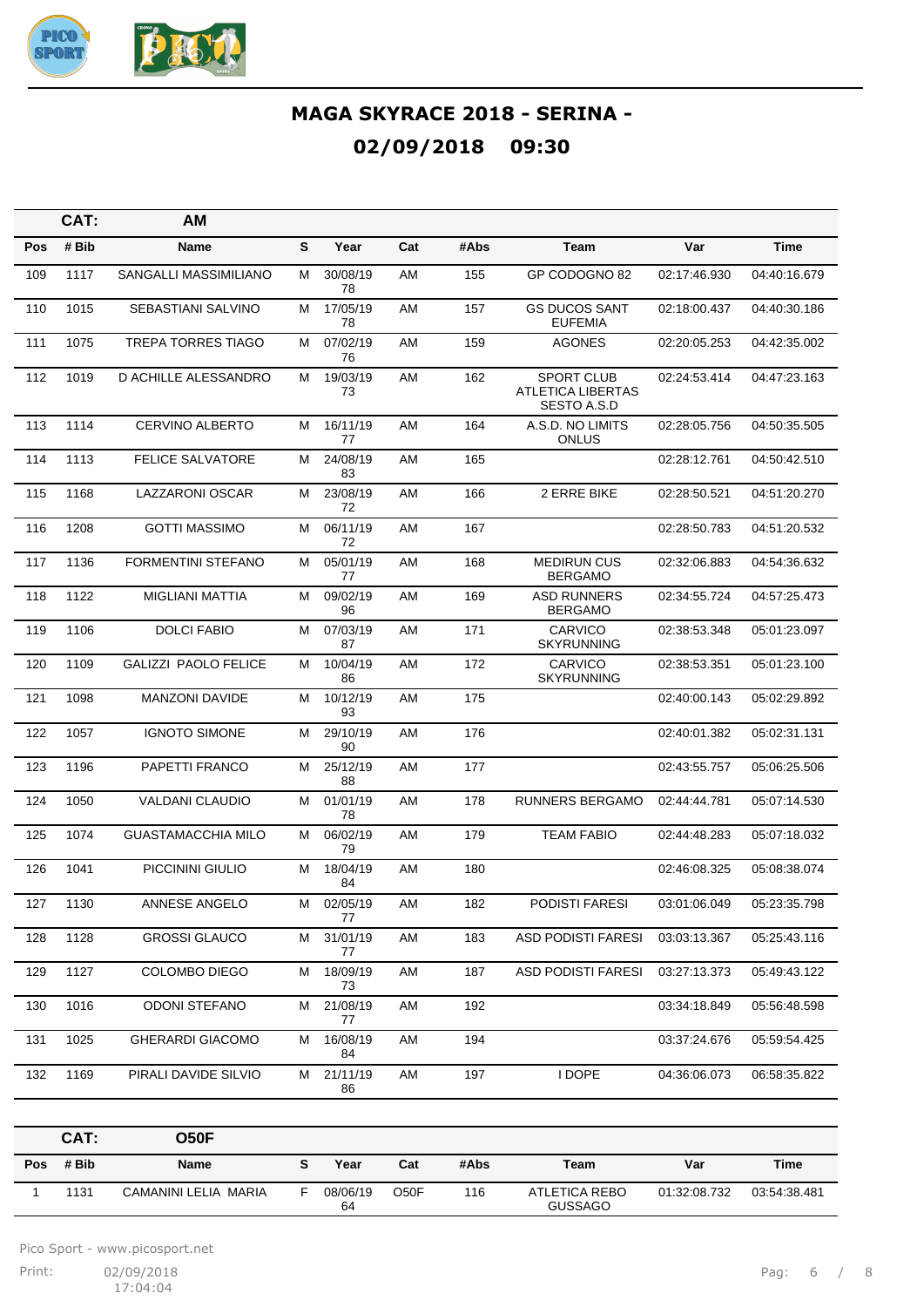

|            | CAT:  | AM                          |   |                |     |      |                                                       |              |              |
|------------|-------|-----------------------------|---|----------------|-----|------|-------------------------------------------------------|--------------|--------------|
| <b>Pos</b> | # Bib | Name                        | S | Year           | Cat | #Abs | Team                                                  | Var          | <b>Time</b>  |
| 109        | 1117  | SANGALLI MASSIMILIANO       | М | 30/08/19<br>78 | AM  | 155  | GP CODOGNO 82                                         | 02:17:46.930 | 04:40:16.679 |
| 110        | 1015  | SEBASTIANI SALVINO          | м | 17/05/19<br>78 | AM  | 157  | <b>GS DUCOS SANT</b><br><b>EUFEMIA</b>                | 02:18:00.437 | 04:40:30.186 |
| 111        | 1075  | <b>TREPA TORRES TIAGO</b>   | м | 07/02/19<br>76 | AM  | 159  | <b>AGONES</b>                                         | 02:20:05.253 | 04:42:35.002 |
| 112        | 1019  | D ACHILLE ALESSANDRO        | Μ | 19/03/19<br>73 | AM  | 162  | <b>SPORT CLUB</b><br>ATLETICA LIBERTAS<br>SESTO A.S.D | 02:24:53.414 | 04:47:23.163 |
| 113        | 1114  | <b>CERVINO ALBERTO</b>      | М | 16/11/19<br>77 | AM  | 164  | A.S.D. NO LIMITS<br>ONLUS                             | 02:28:05.756 | 04:50:35.505 |
| 114        | 1113  | <b>FELICE SALVATORE</b>     | м | 24/08/19<br>83 | AM  | 165  |                                                       | 02:28:12.761 | 04:50:42.510 |
| 115        | 1168  | LAZZARONI OSCAR             | Μ | 23/08/19<br>72 | AM  | 166  | 2 ERRE BIKE                                           | 02:28:50.521 | 04:51:20.270 |
| 116        | 1208  | <b>GOTTI MASSIMO</b>        | м | 06/11/19<br>72 | AM  | 167  |                                                       | 02:28:50.783 | 04:51:20.532 |
| 117        | 1136  | <b>FORMENTINI STEFANO</b>   | м | 05/01/19<br>77 | AM  | 168  | <b>MEDIRUN CUS</b><br><b>BERGAMO</b>                  | 02:32:06.883 | 04:54:36.632 |
| 118        | 1122  | <b>MIGLIANI MATTIA</b>      | М | 09/02/19<br>96 | AM  | 169  | <b>ASD RUNNERS</b><br><b>BERGAMO</b>                  | 02:34:55.724 | 04:57:25.473 |
| 119        | 1106  | <b>DOLCI FABIO</b>          | М | 07/03/19<br>87 | AM  | 171  | CARVICO<br><b>SKYRUNNING</b>                          | 02:38:53.348 | 05:01:23.097 |
| 120        | 1109  | <b>GALIZZI PAOLO FELICE</b> | м | 10/04/19<br>86 | AM  | 172  | <b>CARVICO</b><br><b>SKYRUNNING</b>                   | 02:38:53.351 | 05:01:23.100 |
| 121        | 1098  | <b>MANZONI DAVIDE</b>       | м | 10/12/19<br>93 | AM  | 175  |                                                       | 02:40:00.143 | 05:02:29.892 |
| 122        | 1057  | <b>IGNOTO SIMONE</b>        | м | 29/10/19<br>90 | AM  | 176  |                                                       | 02:40:01.382 | 05:02:31.131 |
| 123        | 1196  | PAPETTI FRANCO              | м | 25/12/19<br>88 | AM  | 177  |                                                       | 02:43:55.757 | 05:06:25.506 |
| 124        | 1050  | <b>VALDANI CLAUDIO</b>      | Μ | 01/01/19<br>78 | AM  | 178  | RUNNERS BERGAMO                                       | 02:44:44.781 | 05:07:14.530 |
| 125        | 1074  | <b>GUASTAMACCHIA MILO</b>   | Μ | 06/02/19<br>79 | AM  | 179  | <b>TEAM FABIO</b>                                     | 02:44:48.283 | 05:07:18.032 |
| 126        | 1041  | PICCININI GIULIO            | м | 18/04/19<br>84 | AM  | 180  |                                                       | 02:46:08.325 | 05:08:38.074 |
| 127        | 1130  | <b>ANNESE ANGELO</b>        | М | 02/05/19<br>77 | AM  | 182  | <b>PODISTI FARESI</b>                                 | 03:01:06.049 | 05:23:35.798 |
| 128        | 1128  | <b>GROSSI GLAUCO</b>        | Μ | 31/01/19<br>77 | AM  | 183  | <b>ASD PODISTI FARESI</b>                             | 03:03:13.367 | 05:25:43.116 |
| 129        | 1127  | COLOMBO DIEGO               | М | 18/09/19<br>73 | AM  | 187  | <b>ASD PODISTI FARESI</b>                             | 03:27:13.373 | 05:49:43.122 |
| 130        | 1016  | <b>ODONI STEFANO</b>        | М | 21/08/19<br>77 | AM  | 192  |                                                       | 03:34:18.849 | 05:56:48.598 |
| 131        | 1025  | <b>GHERARDI GIACOMO</b>     | М | 16/08/19<br>84 | AM  | 194  |                                                       | 03:37:24.676 | 05:59:54.425 |
| 132        | 1169  | PIRALI DAVIDE SILVIO        | м | 21/11/19<br>86 | AM  | 197  | I DOPE                                                | 04:36:06.073 | 06:58:35.822 |

|     | CAT:  | <b>O50F</b>          |                |      |      |                                 |              |              |
|-----|-------|----------------------|----------------|------|------|---------------------------------|--------------|--------------|
| Pos | # Bib | Name                 | Year           | Cat  | #Abs | Team                            | Var          | Time         |
|     | 1131  | CAMANINI LELIA MARIA | 08/06/19<br>64 | O50F | 116  | ATLETICA REBO<br><b>GUSSAGO</b> | 01:32:08.732 | 03:54:38.481 |

Pico Sport - www.picosport.net

Print: 02/09/2018 **Print:** 02/09/2018 **Pag:** 6 / 8  $17:04:04$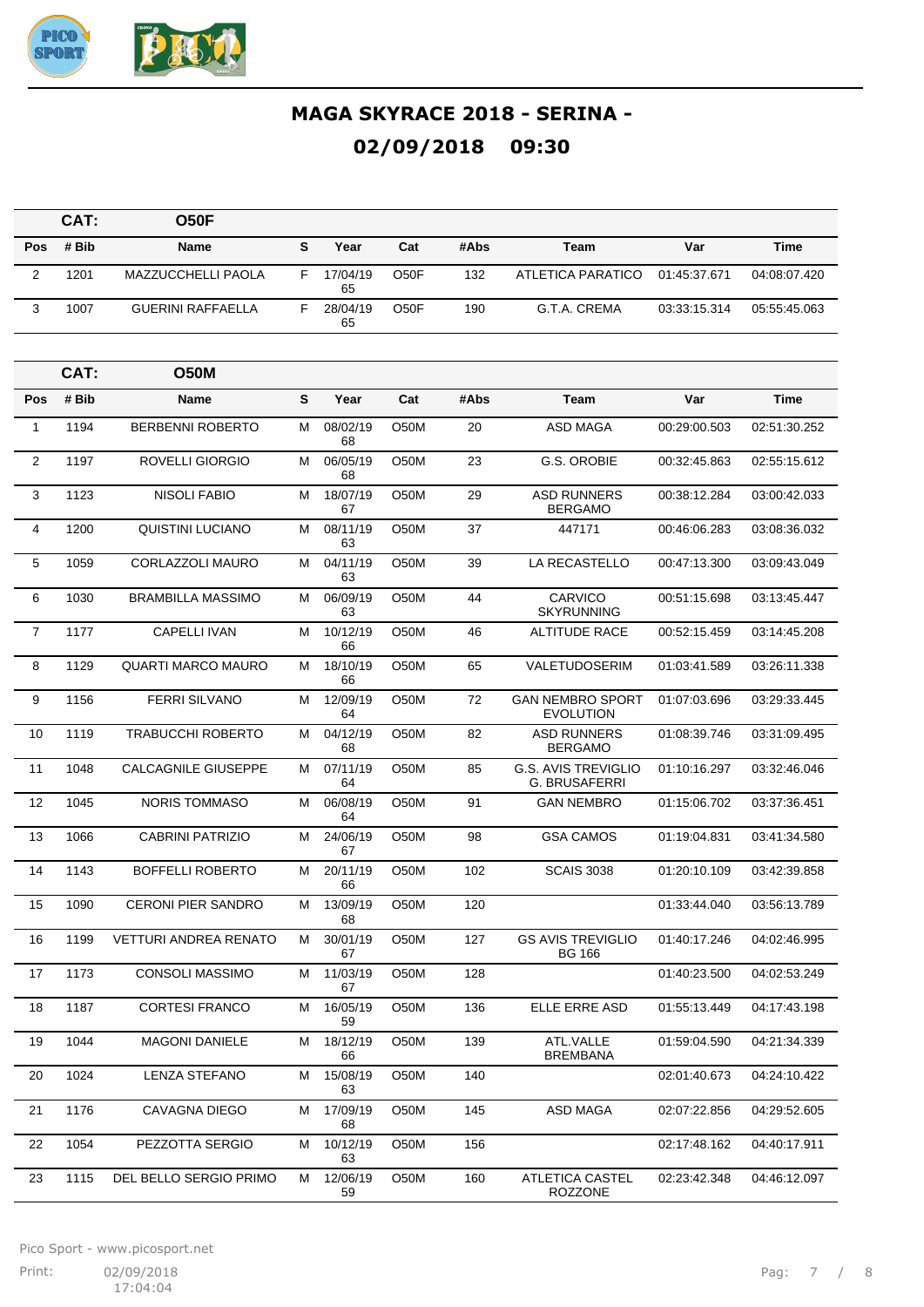

|                | CAT:  | <b>O50F</b>                  |   |                |                   |      |                                                    |              |              |
|----------------|-------|------------------------------|---|----------------|-------------------|------|----------------------------------------------------|--------------|--------------|
| Pos            | # Bib | <b>Name</b>                  | S | Year           | Cat               | #Abs | <b>Team</b>                                        | Var          | <b>Time</b>  |
| $\mathbf{2}$   | 1201  | <b>MAZZUCCHELLI PAOLA</b>    | F | 17/04/19<br>65 | O <sub>5</sub> OF | 132  | <b>ATLETICA PARATICO</b>                           | 01:45:37.671 | 04:08:07.420 |
| 3              | 1007  | <b>GUERINI RAFFAELLA</b>     | F | 28/04/19<br>65 | O50F              | 190  | G.T.A. CREMA                                       | 03:33:15.314 | 05:55:45.063 |
|                | CAT:  | <b>O50M</b>                  |   |                |                   |      |                                                    |              |              |
| Pos            | # Bib | <b>Name</b>                  | S | Year           | Cat               | #Abs | Team                                               | Var          | <b>Time</b>  |
| $\mathbf{1}$   | 1194  | <b>BERBENNI ROBERTO</b>      | м | 08/02/19<br>68 | O50M              | 20   | ASD MAGA                                           | 00:29:00.503 | 02:51:30.252 |
| $\overline{2}$ | 1197  | ROVELLI GIORGIO              | м | 06/05/19<br>68 | O50M              | 23   | G.S. OROBIE                                        | 00:32:45.863 | 02:55:15.612 |
| 3              | 1123  | <b>NISOLI FABIO</b>          | М | 18/07/19<br>67 | O50M              | 29   | <b>ASD RUNNERS</b><br><b>BERGAMO</b>               | 00:38:12.284 | 03:00:42.033 |
| 4              | 1200  | <b>QUISTINI LUCIANO</b>      | м | 08/11/19<br>63 | O50M              | 37   | 447171                                             | 00:46:06.283 | 03:08:36.032 |
| 5              | 1059  | CORLAZZOLI MAURO             | м | 04/11/19<br>63 | O <sub>5</sub> 0M | 39   | LA RECASTELLO                                      | 00:47:13.300 | 03:09:43.049 |
| 6              | 1030  | <b>BRAMBILLA MASSIMO</b>     | м | 06/09/19<br>63 | O50M              | 44   | <b>CARVICO</b><br><b>SKYRUNNING</b>                | 00:51:15.698 | 03:13:45.447 |
| $\overline{7}$ | 1177  | <b>CAPELLI IVAN</b>          | М | 10/12/19<br>66 | O50M              | 46   | <b>ALTITUDE RACE</b>                               | 00:52:15.459 | 03:14:45.208 |
| 8              | 1129  | <b>QUARTI MARCO MAURO</b>    | м | 18/10/19<br>66 | O <sub>5</sub> 0M | 65   | <b>VALETUDOSERIM</b>                               | 01:03:41.589 | 03:26:11.338 |
| 9              | 1156  | <b>FERRI SILVANO</b>         | М | 12/09/19<br>64 | O50M              | 72   | <b>GAN NEMBRO SPORT</b><br><b>EVOLUTION</b>        | 01:07:03.696 | 03:29:33.445 |
| 10             | 1119  | <b>TRABUCCHI ROBERTO</b>     | м | 04/12/19<br>68 | O <sub>5</sub> 0M | 82   | <b>ASD RUNNERS</b><br><b>BERGAMO</b>               | 01:08:39.746 | 03:31:09.495 |
| 11             | 1048  | <b>CALCAGNILE GIUSEPPE</b>   | м | 07/11/19<br>64 | O <sub>5</sub> 0M | 85   | <b>G.S. AVIS TREVIGLIO</b><br><b>G. BRUSAFERRI</b> | 01:10:16.297 | 03:32:46.046 |
| 12             | 1045  | <b>NORIS TOMMASO</b>         | м | 06/08/19<br>64 | O50M              | 91   | <b>GAN NEMBRO</b>                                  | 01:15:06.702 | 03:37:36.451 |
| 13             | 1066  | <b>CABRINI PATRIZIO</b>      | М | 24/06/19<br>67 | O50M              | 98   | <b>GSA CAMOS</b>                                   | 01:19:04.831 | 03:41:34.580 |
| 14             | 1143  | <b>BOFFELLI ROBERTO</b>      | м | 20/11/19<br>66 | O <sub>5</sub> 0M | 102  | <b>SCAIS 3038</b>                                  | 01:20:10.109 | 03:42:39.858 |
| 15             | 1090  | CERONI PIER SANDRO           | М | 13/09/19<br>68 | O50M              | 120  |                                                    | 01:33:44.040 | 03:56:13.789 |
| 16             | 1199  | <b>VETTURI ANDREA RENATO</b> | М | 30/01/19<br>67 | O50M              | 127  | <b>GS AVIS TREVIGLIO</b><br><b>BG 166</b>          | 01:40:17.246 | 04:02:46.995 |
| 17             | 1173  | <b>CONSOLI MASSIMO</b>       | М | 11/03/19<br>67 | O50M              | 128  |                                                    | 01:40:23.500 | 04:02:53.249 |
| 18             | 1187  | <b>CORTESI FRANCO</b>        | M | 16/05/19<br>59 | O50M              | 136  | ELLE ERRE ASD                                      | 01:55:13.449 | 04:17:43.198 |
| 19             | 1044  | <b>MAGONI DANIELE</b>        | М | 18/12/19<br>66 | O <sub>5</sub> 0M | 139  | ATL.VALLE<br><b>BREMBANA</b>                       | 01:59:04.590 | 04:21:34.339 |
| 20             | 1024  | <b>LENZA STEFANO</b>         | м | 15/08/19<br>63 | O <sub>5</sub> 0M | 140  |                                                    | 02:01:40.673 | 04:24:10.422 |
| 21             | 1176  | CAVAGNA DIEGO                | M | 17/09/19<br>68 | O50M              | 145  | ASD MAGA                                           | 02:07:22.856 | 04:29:52.605 |
| 22             | 1054  | PEZZOTTA SERGIO              | М | 10/12/19<br>63 | O50M              | 156  |                                                    | 02:17:48.162 | 04:40:17.911 |
| 23             | 1115  | DEL BELLO SERGIO PRIMO       | М | 12/06/19<br>59 | O50M              | 160  | <b>ATLETICA CASTEL</b><br><b>ROZZONE</b>           | 02:23:42.348 | 04:46:12.097 |